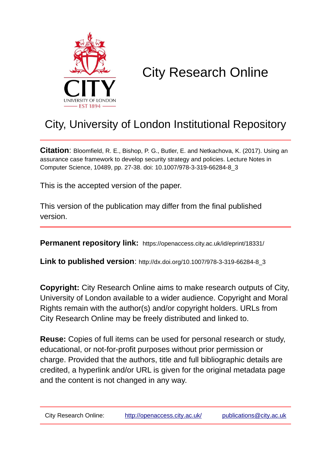

# City Research Online

## City, University of London Institutional Repository

**Citation**: Bloomfield, R. E., Bishop, P. G., Butler, E. and Netkachova, K. (2017). Using an assurance case framework to develop security strategy and policies. Lecture Notes in Computer Science, 10489, pp. 27-38. doi: 10.1007/978-3-319-66284-8\_3

This is the accepted version of the paper.

This version of the publication may differ from the final published version.

**Permanent repository link:** https://openaccess.city.ac.uk/id/eprint/18331/

**Link to published version**: http://dx.doi.org/10.1007/978-3-319-66284-8\_3

**Copyright:** City Research Online aims to make research outputs of City, University of London available to a wider audience. Copyright and Moral Rights remain with the author(s) and/or copyright holders. URLs from City Research Online may be freely distributed and linked to.

**Reuse:** Copies of full items can be used for personal research or study, educational, or not-for-profit purposes without prior permission or charge. Provided that the authors, title and full bibliographic details are credited, a hyperlink and/or URL is given for the original metadata page and the content is not changed in any way.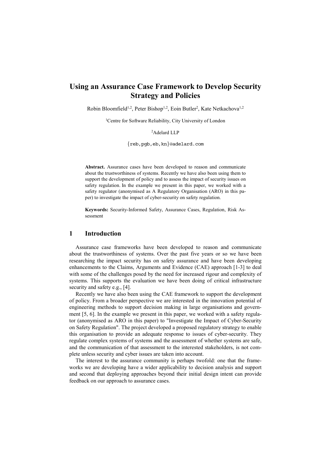## Using an Assurance Case Framework to Develop Security Strategy and Policies

Robin Bloomfield<sup>1,2</sup>, Peter Bishop<sup>1,2</sup>, Eoin Butler<sup>2</sup>, Kate Netkachova<sup>1,2</sup>

<sup>1</sup>Centre for Software Reliability, City University of London

<sup>2</sup>Adelard LLP

{reb,pgb,eb,kn}@adelard.com

Abstract. Assurance cases have been developed to reason and communicate about the trustworthiness of systems. Recently we have also been using them to support the development of policy and to assess the impact of security issues on safety regulation. In the example we present in this paper, we worked with a safety regulator (anonymised as A Regulatory Organisation (ARO) in this paper) to investigate the impact of cyber-security on safety regulation.

Keywords: Security-Informed Safety, Assurance Cases, Regulation, Risk Assessment

### 1 Introduction

Assurance case frameworks have been developed to reason and communicate about the trustworthiness of systems. Over the past five years or so we have been researching the impact security has on safety assurance and have been developing enhancements to the Claims, Arguments and Evidence (CAE) approach [1-3] to deal with some of the challenges posed by the need for increased rigour and complexity of systems. This supports the evaluation we have been doing of critical infrastructure security and safety e.g., [4].

Recently we have also been using the CAE framework to support the development of policy. From a broader perspective we are interested in the innovation potential of engineering methods to support decision making in large organisations and government [5, 6]. In the example we present in this paper, we worked with a safety regulator (anonymised as ARO in this paper) to "Investigate the Impact of Cyber-Security on Safety Regulation". The project developed a proposed regulatory strategy to enable this organisation to provide an adequate response to issues of cyber-security. They regulate complex systems of systems and the assessment of whether systems are safe, and the communication of that assessment to the interested stakeholders, is not complete unless security and cyber issues are taken into account.

The interest to the assurance community is perhaps twofold: one that the frameworks we are developing have a wider applicability to decision analysis and support and second that deploying approaches beyond their initial design intent can provide feedback on our approach to assurance cases.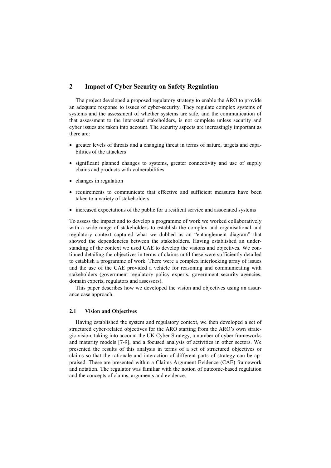## 2 Impact of Cyber Security on Safety Regulation

The project developed a proposed regulatory strategy to enable the ARO to provide an adequate response to issues of cyber-security. They regulate complex systems of systems and the assessment of whether systems are safe, and the communication of that assessment to the interested stakeholders, is not complete unless security and cyber issues are taken into account. The security aspects are increasingly important as there are:

- greater levels of threats and a changing threat in terms of nature, targets and capabilities of the attackers
- significant planned changes to systems, greater connectivity and use of supply chains and products with vulnerabilities
- changes in regulation
- requirements to communicate that effective and sufficient measures have been taken to a variety of stakeholders
- increased expectations of the public for a resilient service and associated systems

To assess the impact and to develop a programme of work we worked collaboratively with a wide range of stakeholders to establish the complex and organisational and regulatory context captured what we dubbed as an "entanglement diagram" that showed the dependencies between the stakeholders. Having established an understanding of the context we used CAE to develop the visions and objectives. We continued detailing the objectives in terms of claims until these were sufficiently detailed to establish a programme of work. There were a complex interlocking array of issues and the use of the CAE provided a vehicle for reasoning and communicating with stakeholders (government regulatory policy experts, government security agencies, domain experts, regulators and assessors).

This paper describes how we developed the vision and objectives using an assurance case approach.

#### 2.1 Vision and Objectives

Having established the system and regulatory context, we then developed a set of structured cyber-related objectives for the ARO starting from the ARO's own strategic vision, taking into account the UK Cyber Strategy, a number of cyber frameworks and maturity models [7-9], and a focused analysis of activities in other sectors. We presented the results of this analysis in terms of a set of structured objectives or claims so that the rationale and interaction of different parts of strategy can be appraised. These are presented within a Claims Argument Evidence (CAE) framework and notation. The regulator was familiar with the notion of outcome-based regulation and the concepts of claims, arguments and evidence.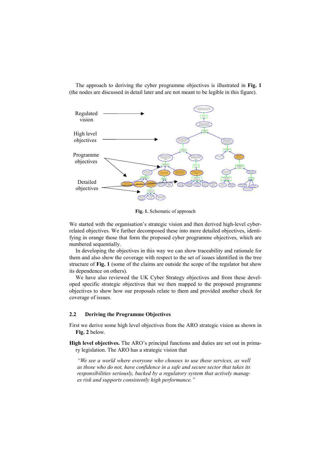The approach to deriving the cyber programme objectives is illustrated in Fig. 1 (the nodes are discussed in detail later and are not meant to be legible in this figure).



Fig. 1. Schematic of approach

We started with the organisation's strategic vision and then derived high-level cyberrelated objectives. We further decomposed these into more detailed objectives, identifying in orange those that form the proposed cyber programme objectives, which are numbered sequentially.

In developing the objectives in this way we can show traceability and rationale for them and also show the coverage with respect to the set of issues identified in the tree structure of Fig. 1 (some of the claims are outside the scope of the regulator but show its dependence on others).

We have also reviewed the UK Cyber Strategy objectives and from these developed specific strategic objectives that we then mapped to the proposed programme objectives to show how our proposals relate to them and provided another check for coverage of issues.

#### 2.2 Deriving the Programme Objectives

First we derive some high level objectives from the ARO strategic vision as shown in Fig. 2 below.

High level objectives. The ARO's principal functions and duties are set out in primary legislation. The ARO has a strategic vision that

"We see a world where everyone who chooses to use these services, as well as those who do not, have confidence in a safe and secure sector that takes its responsibilities seriously, backed by a regulatory system that actively manages risk and supports consistently high performance."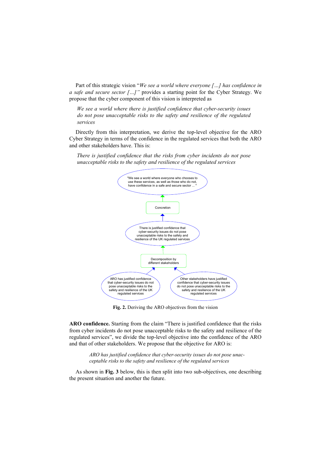Part of this strategic vision "We see a world where everyone [...] has confidence in a safe and secure sector […]" provides a starting point for the Cyber Strategy. We propose that the cyber component of this vision is interpreted as

We see a world where there is justified confidence that cyber-security issues do not pose unacceptable risks to the safety and resilience of the regulated services

Directly from this interpretation, we derive the top-level objective for the ARO Cyber Strategy in terms of the confidence in the regulated services that both the ARO and other stakeholders have. This is:

There is justified confidence that the risks from cyber incidents do not pose unacceptable risks to the safety and resilience of the regulated services



Fig. 2. Deriving the ARO objectives from the vision

ARO confidence. Starting from the claim "There is justified confidence that the risks from cyber incidents do not pose unacceptable risks to the safety and resilience of the regulated services", we divide the top-level objective into the confidence of the ARO and that of other stakeholders. We propose that the objective for ARO is:

> ARO has justified confidence that cyber-security issues do not pose unacceptable risks to the safety and resilience of the regulated services

As shown in Fig. 3 below, this is then split into two sub-objectives, one describing the present situation and another the future.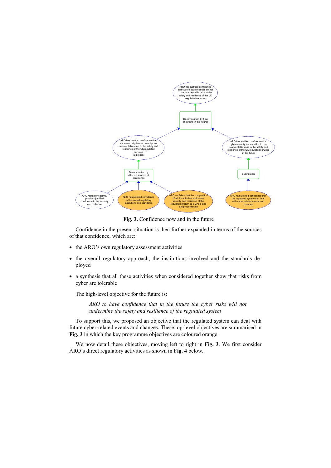

Fig. 3. Confidence now and in the future

Confidence in the present situation is then further expanded in terms of the sources of that confidence, which are:

- the ARO's own regulatory assessment activities
- the overall regulatory approach, the institutions involved and the standards deployed
- a synthesis that all these activities when considered together show that risks from cyber are tolerable

The high-level objective for the future is:

ARO to have confidence that in the future the cyber risks will not undermine the safety and resilience of the regulated system

To support this, we proposed an objective that the regulated system can deal with future cyber-related events and changes. These top-level objectives are summarised in Fig. 3 in which the key programme objectives are coloured orange.

We now detail these objectives, moving left to right in Fig. 3. We first consider ARO's direct regulatory activities as shown in Fig. 4 below.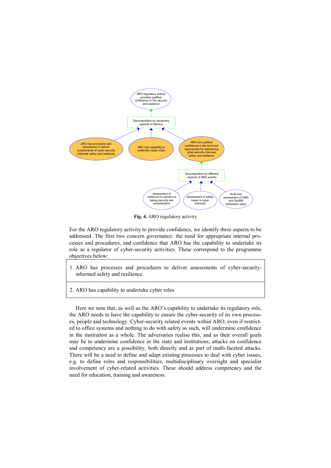

Fig. 4. ARO regulatory activity

For the ARO regulatory activity to provide confidence, we identify three aspects to be addressed. The first two concern governance: the need for appropriate internal processes and procedures, and confidence that ARO has the capability to undertake its role as a regulator of cyber-security activities. These correspond to the programme objectives below:

- 1. ARO has processes and procedures to deliver assessments of cyber-securityinformed safety and resilience
- 2. ARO has capability to undertake cyber roles

Here we note that, as well as the ARO's capability to undertake its regulatory role, the ARO needs to have the capability to ensure the cyber-security of its own processes, people and technology. Cyber-security related events within ARO, even if restricted to office systems and nothing to do with safety as such, will undermine confidence in the institution as a whole. The adversaries realise this, and as their overall goals may be to undermine confidence in the state and institutions, attacks on confidence and competency are a possibility, both directly and as part of multi-faceted attacks. There will be a need to define and adapt existing processes to deal with cyber issues, e.g. to define roles and responsibilities, multidisciplinary oversight and specialist involvement of cyber-related activities. These should address competency and the need for education, training and awareness.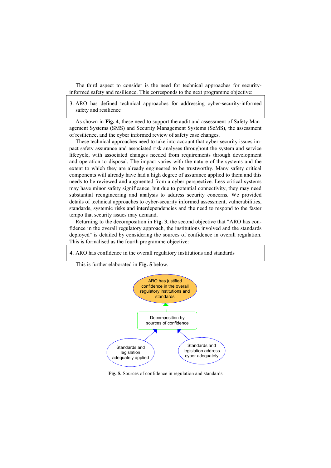The third aspect to consider is the need for technical approaches for securityinformed safety and resilience. This corresponds to the next programme objective:

3. ARO has defined technical approaches for addressing cyber-security-informed safety and resilience

As shown in Fig. 4, these need to support the audit and assessment of Safety Management Systems (SMS) and Security Management Systems (SeMS), the assessment of resilience, and the cyber informed review of safety case changes.

These technical approaches need to take into account that cyber-security issues impact safety assurance and associated risk analyses throughout the system and service lifecycle, with associated changes needed from requirements through development and operation to disposal. The impact varies with the nature of the systems and the extent to which they are already engineered to be trustworthy. Many safety critical components will already have had a high degree of assurance applied to them and this needs to be reviewed and augmented from a cyber perspective. Less critical systems may have minor safety significance, but due to potential connectivity, they may need substantial reengineering and analysis to address security concerns. We provided details of technical approaches to cyber-security informed assessment, vulnerabilities, standards, systemic risks and interdependencies and the need to respond to the faster tempo that security issues may demand.

Returning to the decomposition in Fig. 3, the second objective that "ARO has confidence in the overall regulatory approach, the institutions involved and the standards deployed" is detailed by considering the sources of confidence in overall regulation. This is formalised as the fourth programme objective:

4. ARO has confidence in the overall regulatory institutions and standards

This is further elaborated in Fig. 5 below.



Fig. 5. Sources of confidence in regulation and standards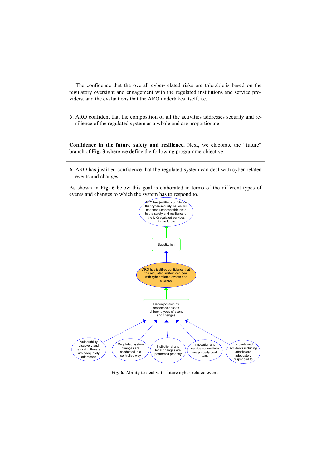The confidence that the overall cyber-related risks are tolerable.is based on the regulatory oversight and engagement with the regulated institutions and service providers, and the evaluations that the ARO undertakes itself, i.e.

5. ARO confident that the composition of all the activities addresses security and resilience of the regulated system as a whole and are proportionate

Confidence in the future safety and resilience. Next, we elaborate the "future" branch of Fig. 3 where we define the following programme objective.

6. ARO has justified confidence that the regulated system can deal with cyber-related events and changes

As shown in Fig. 6 below this goal is elaborated in terms of the different types of events and changes to which the system has to respond to.



Fig. 6. Ability to deal with future cyber-related events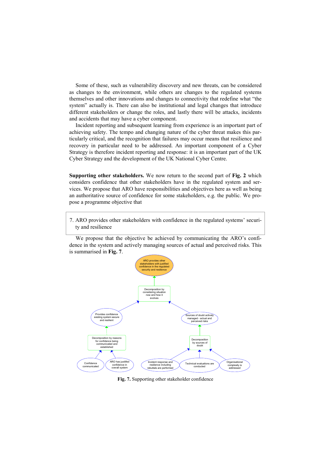Some of these, such as vulnerability discovery and new threats, can be considered as changes to the environment, while others are changes to the regulated systems themselves and other innovations and changes to connectivity that redefine what "the system" actually is. There can also be institutional and legal changes that introduce different stakeholders or change the roles, and lastly there will be attacks, incidents and accidents that may have a cyber component.

Incident reporting and subsequent learning from experience is an important part of achieving safety. The tempo and changing nature of the cyber threat makes this particularly critical, and the recognition that failures may occur means that resilience and recovery in particular need to be addressed. An important component of a Cyber Strategy is therefore incident reporting and response: it is an important part of the UK Cyber Strategy and the development of the UK National Cyber Centre.

Supporting other stakeholders. We now return to the second part of Fig. 2 which considers confidence that other stakeholders have in the regulated system and services. We propose that ARO have responsibilities and objectives here as well as being an authoritative source of confidence for some stakeholders, e.g. the public. We propose a programme objective that

7. ARO provides other stakeholders with confidence in the regulated systems' security and resilience

We propose that the objective be achieved by communicating the ARO's confidence in the system and actively managing sources of actual and perceived risks. This is summarised in Fig. 7.



Fig. 7. Supporting other stakeholder confidence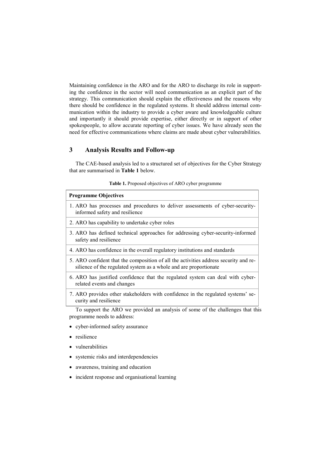Maintaining confidence in the ARO and for the ARO to discharge its role in supporting the confidence in the sector will need communication as an explicit part of the strategy. This communication should explain the effectiveness and the reasons why there should be confidence in the regulated systems. It should address internal communication within the industry to provide a cyber aware and knowledgeable culture and importantly it should provide expertise, either directly or in support of other spokespeople, to allow accurate reporting of cyber issues. We have already seen the need for effective communications where claims are made about cyber vulnerabilities.

## 3 Analysis Results and Follow-up

The CAE-based analysis led to a structured set of objectives for the Cyber Strategy that are summarised in Table 1 below.

| <b>Programme Objectives</b>                                                                                                                               |
|-----------------------------------------------------------------------------------------------------------------------------------------------------------|
| 1. ARO has processes and procedures to deliver assessments of cyber-security-<br>informed safety and resilience                                           |
| 2. ARO has capability to undertake cyber roles                                                                                                            |
| 3. ARO has defined technical approaches for addressing cyber-security-informed<br>safety and resilience                                                   |
| 4. ARO has confidence in the overall regulatory institutions and standards                                                                                |
| 5. ARO confident that the composition of all the activities address security and re-<br>silience of the regulated system as a whole and are proportionate |
| 6. ARO has justified confidence that the regulated system can deal with cyber-<br>related events and changes                                              |
| 7. ARO provides other stakeholders with confidence in the regulated systems' se-<br>curity and resilience                                                 |

|  |  | Table 1. Proposed objectives of ARO cyber programme |
|--|--|-----------------------------------------------------|
|  |  |                                                     |

To support the ARO we provided an analysis of some of the challenges that this programme needs to address:

- cyber-informed safety assurance
- resilience
- vulnerabilities
- systemic risks and interdependencies
- awareness, training and education
- incident response and organisational learning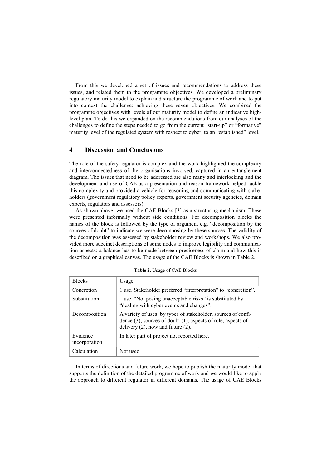From this we developed a set of issues and recommendations to address these issues, and related them to the programme objectives. We developed a preliminary regulatory maturity model to explain and structure the programme of work and to put into context the challenge: achieving these seven objectives. We combined the programme objectives with levels of our maturity model to define an indicative highlevel plan. To do this we expanded on the recommendations from our analyses of the challenges to define the steps needed to go from the current "start-up" or "formative" maturity level of the regulated system with respect to cyber, to an "established" level.

## 4 Discussion and Conclusions

The role of the safety regulator is complex and the work highlighted the complexity and interconnectedness of the organisations involved, captured in an entanglement diagram. The issues that need to be addressed are also many and interlocking and the development and use of CAE as a presentation and reason framework helped tackle this complexity and provided a vehicle for reasoning and communicating with stakeholders (government regulatory policy experts, government security agencies, domain experts, regulators and assessors).

As shown above, we used the CAE Blocks [3] as a structuring mechanism. These were presented informally without side conditions. For decomposition blocks the names of the block is followed by the type of argument e.g. "decomposition by the sources of doubt" to indicate we were decomposing by these sources. The validity of the decomposition was assessed by stakeholder review and workshops. We also provided more succinct descriptions of some nodes to improve legibility and communication aspects: a balance has to be made between preciseness of claim and how this is described on a graphical canvas. The usage of the CAE Blocks is shown in Table 2.

| <b>Blocks</b>             | Usage                                                                                                                                                                          |
|---------------------------|--------------------------------------------------------------------------------------------------------------------------------------------------------------------------------|
| Concretion                | 1 use. Stakeholder preferred "interpretation" to "concretion".                                                                                                                 |
| Substitution              | 1 use. "Not posing unacceptable risks" is substituted by<br>"dealing with cyber events and changes".                                                                           |
| Decomposition             | A variety of uses: by types of stakeholder, sources of confi-<br>dence $(3)$ , sources of doubt $(1)$ , aspects of role, aspects of<br>delivery $(2)$ , now and future $(2)$ . |
| Evidence<br>incorporation | In later part of project not reported here.                                                                                                                                    |
| Calculation               | Not used.                                                                                                                                                                      |

Table 2. Usage of CAE Blocks

In terms of directions and future work, we hope to publish the maturity model that supports the definition of the detailed programme of work and we would like to apply the approach to different regulator in different domains. The usage of CAE Blocks